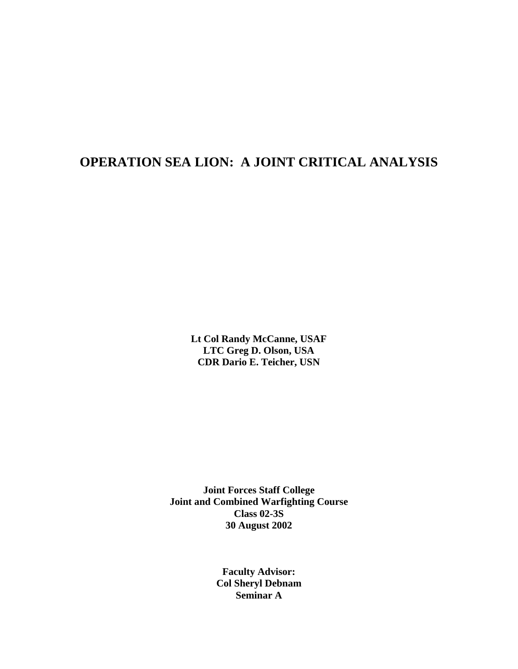# **OPERATION SEA LION: A JOINT CRITICAL ANALYSIS**

**Lt Col Randy McCanne, USAF LTC Greg D. Olson, USA CDR Dario E. Teicher, USN**

**Joint Forces Staff College Joint and Combined Warfighting Course Class 02-3S 30 August 2002**

> **Faculty Advisor: Col Sheryl Debnam Seminar A**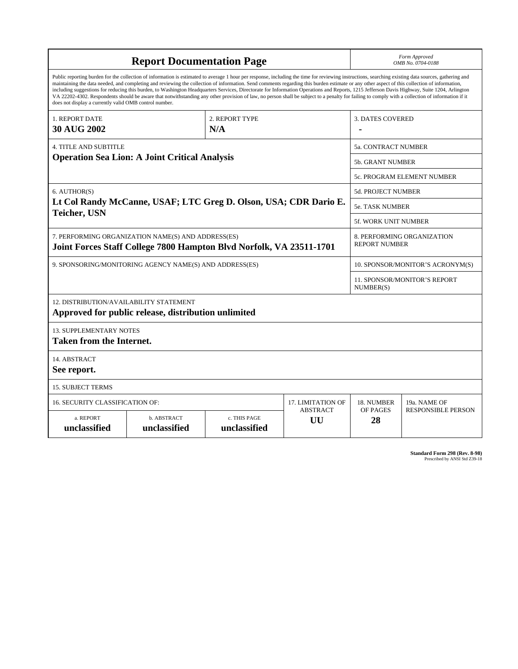| <b>Report Documentation Page</b>                                                                                                                                                                                                                                                                                                                                                                                                                                                                                                                                                                                                                                                                                                                                                                                                                                   |                             |                              |                                   | Form Approved<br>OMB No. 0704-0188                 |                           |  |
|--------------------------------------------------------------------------------------------------------------------------------------------------------------------------------------------------------------------------------------------------------------------------------------------------------------------------------------------------------------------------------------------------------------------------------------------------------------------------------------------------------------------------------------------------------------------------------------------------------------------------------------------------------------------------------------------------------------------------------------------------------------------------------------------------------------------------------------------------------------------|-----------------------------|------------------------------|-----------------------------------|----------------------------------------------------|---------------------------|--|
| Public reporting burden for the collection of information is estimated to average 1 hour per response, including the time for reviewing instructions, searching existing data sources, gathering and<br>maintaining the data needed, and completing and reviewing the collection of information. Send comments regarding this burden estimate or any other aspect of this collection of information,<br>including suggestions for reducing this burden, to Washington Headquarters Services, Directorate for Information Operations and Reports, 1215 Jefferson Davis Highway, Suite 1204, Arlington<br>VA 22202-4302. Respondents should be aware that notwithstanding any other provision of law, no person shall be subject to a penalty for failing to comply with a collection of information if it<br>does not display a currently valid OMB control number. |                             |                              |                                   |                                                    |                           |  |
| <b>1. REPORT DATE</b><br>2. REPORT TYPE<br><b>30 AUG 2002</b><br>N/A                                                                                                                                                                                                                                                                                                                                                                                                                                                                                                                                                                                                                                                                                                                                                                                               |                             |                              |                                   | <b>3. DATES COVERED</b>                            |                           |  |
| <b>4. TITLE AND SUBTITLE</b><br><b>Operation Sea Lion: A Joint Critical Analysis</b>                                                                                                                                                                                                                                                                                                                                                                                                                                                                                                                                                                                                                                                                                                                                                                               |                             |                              |                                   | 5a. CONTRACT NUMBER                                |                           |  |
|                                                                                                                                                                                                                                                                                                                                                                                                                                                                                                                                                                                                                                                                                                                                                                                                                                                                    |                             |                              |                                   | <b>5b. GRANT NUMBER</b>                            |                           |  |
|                                                                                                                                                                                                                                                                                                                                                                                                                                                                                                                                                                                                                                                                                                                                                                                                                                                                    |                             |                              |                                   | <b>5c. PROGRAM ELEMENT NUMBER</b>                  |                           |  |
| 6. AUTHOR(S)<br>Lt Col Randy McCanne, USAF; LTC Greg D. Olson, USA; CDR Dario E.<br><b>Teicher, USN</b>                                                                                                                                                                                                                                                                                                                                                                                                                                                                                                                                                                                                                                                                                                                                                            |                             |                              |                                   | <b>5d. PROJECT NUMBER</b>                          |                           |  |
|                                                                                                                                                                                                                                                                                                                                                                                                                                                                                                                                                                                                                                                                                                                                                                                                                                                                    |                             |                              |                                   | <b>5e. TASK NUMBER</b>                             |                           |  |
|                                                                                                                                                                                                                                                                                                                                                                                                                                                                                                                                                                                                                                                                                                                                                                                                                                                                    |                             |                              |                                   | 5f. WORK UNIT NUMBER                               |                           |  |
| 7. PERFORMING ORGANIZATION NAME(S) AND ADDRESS(ES)<br>Joint Forces Staff College 7800 Hampton Blvd Norfolk, VA 23511-1701                                                                                                                                                                                                                                                                                                                                                                                                                                                                                                                                                                                                                                                                                                                                          |                             |                              |                                   | 8. PERFORMING ORGANIZATION<br><b>REPORT NUMBER</b> |                           |  |
| 9. SPONSORING/MONITORING AGENCY NAME(S) AND ADDRESS(ES)                                                                                                                                                                                                                                                                                                                                                                                                                                                                                                                                                                                                                                                                                                                                                                                                            |                             |                              |                                   | 10. SPONSOR/MONITOR'S ACRONYM(S)                   |                           |  |
|                                                                                                                                                                                                                                                                                                                                                                                                                                                                                                                                                                                                                                                                                                                                                                                                                                                                    |                             |                              |                                   | 11. SPONSOR/MONITOR'S REPORT<br>NUMBER(S)          |                           |  |
| 12. DISTRIBUTION/AVAILABILITY STATEMENT<br>Approved for public release, distribution unlimited                                                                                                                                                                                                                                                                                                                                                                                                                                                                                                                                                                                                                                                                                                                                                                     |                             |                              |                                   |                                                    |                           |  |
| <b>13. SUPPLEMENTARY NOTES</b><br><b>Taken from the Internet.</b>                                                                                                                                                                                                                                                                                                                                                                                                                                                                                                                                                                                                                                                                                                                                                                                                  |                             |                              |                                   |                                                    |                           |  |
| 14. ABSTRACT<br>See report.                                                                                                                                                                                                                                                                                                                                                                                                                                                                                                                                                                                                                                                                                                                                                                                                                                        |                             |                              |                                   |                                                    |                           |  |
| <b>15. SUBJECT TERMS</b>                                                                                                                                                                                                                                                                                                                                                                                                                                                                                                                                                                                                                                                                                                                                                                                                                                           |                             |                              |                                   |                                                    |                           |  |
| 16. SECURITY CLASSIFICATION OF:                                                                                                                                                                                                                                                                                                                                                                                                                                                                                                                                                                                                                                                                                                                                                                                                                                    | 17. LIMITATION OF           | 18. NUMBER                   | 19a. NAME OF                      |                                                    |                           |  |
| a. REPORT<br>unclassified                                                                                                                                                                                                                                                                                                                                                                                                                                                                                                                                                                                                                                                                                                                                                                                                                                          | b. ABSTRACT<br>unclassified | c. THIS PAGE<br>unclassified | <b>ABSTRACT</b><br>$\overline{U}$ | OF PAGES<br>28                                     | <b>RESPONSIBLE PERSON</b> |  |

**Standard Form 298 (Rev. 8-98)**<br>Prescribed by ANSI Std Z39-18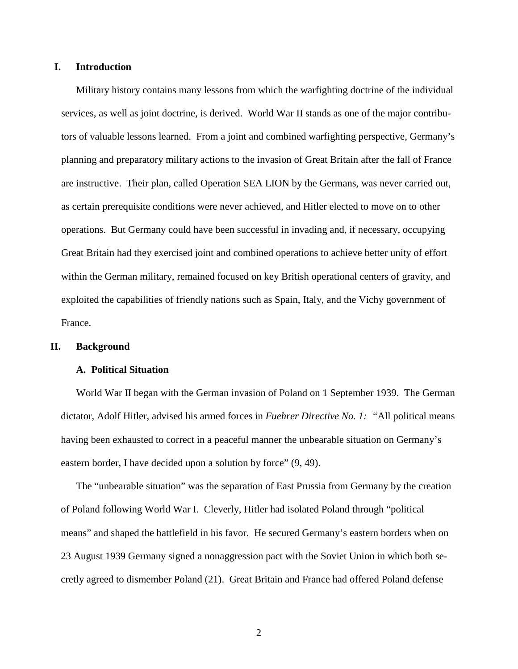# **I. Introduction**

Military history contains many lessons from which the warfighting doctrine of the individual services, as well as joint doctrine, is derived. World War II stands as one of the major contributors of valuable lessons learned. From a joint and combined warfighting perspective, Germany's planning and preparatory military actions to the invasion of Great Britain after the fall of France are instructive. Their plan, called Operation SEA LION by the Germans, was never carried out, as certain prerequisite conditions were never achieved, and Hitler elected to move on to other operations. But Germany could have been successful in invading and, if necessary, occupying Great Britain had they exercised joint and combined operations to achieve better unity of effort within the German military, remained focused on key British operational centers of gravity, and exploited the capabilities of friendly nations such as Spain, Italy, and the Vichy government of France.

# **II. Background**

### **A. Political Situation**

World War II began with the German invasion of Poland on 1 September 1939. The German dictator, Adolf Hitler, advised his armed forces in *Fuehrer Directive No. 1: "*All political means having been exhausted to correct in a peaceful manner the unbearable situation on Germany's eastern border, I have decided upon a solution by force" (9, 49).

The "unbearable situation" was the separation of East Prussia from Germany by the creation of Poland following World War I. Cleverly, Hitler had isolated Poland through "political means" and shaped the battlefield in his favor. He secured Germany's eastern borders when on 23 August 1939 Germany signed a nonaggression pact with the Soviet Union in which both secretly agreed to dismember Poland (21). Great Britain and France had offered Poland defense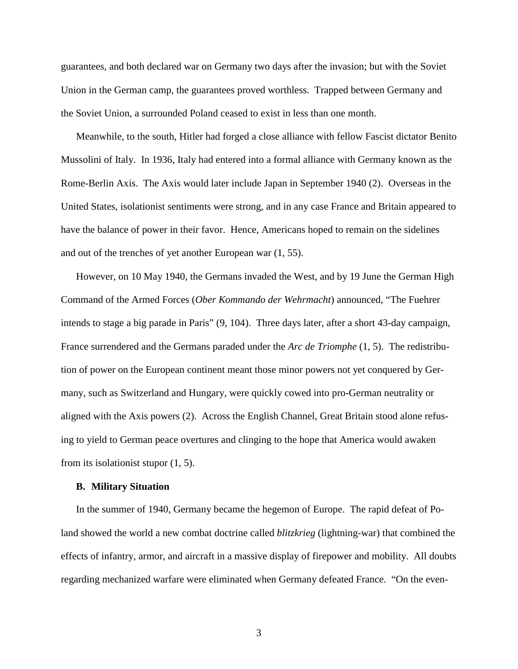guarantees, and both declared war on Germany two days after the invasion; but with the Soviet Union in the German camp, the guarantees proved worthless. Trapped between Germany and the Soviet Union, a surrounded Poland ceased to exist in less than one month.

Meanwhile, to the south, Hitler had forged a close alliance with fellow Fascist dictator Benito Mussolini of Italy. In 1936, Italy had entered into a formal alliance with Germany known as the Rome-Berlin Axis. The Axis would later include Japan in September 1940 (2). Overseas in the United States, isolationist sentiments were strong, and in any case France and Britain appeared to have the balance of power in their favor. Hence, Americans hoped to remain on the sidelines and out of the trenches of yet another European war (1, 55).

However, on 10 May 1940, the Germans invaded the West, and by 19 June the German High Command of the Armed Forces (*Ober Kommando der Wehrmacht*) announced, "The Fuehrer intends to stage a big parade in Paris" (9, 104). Three days later, after a short 43-day campaign, France surrendered and the Germans paraded under the *Arc de Triomphe* (1, 5). The redistribution of power on the European continent meant those minor powers not yet conquered by Germany, such as Switzerland and Hungary, were quickly cowed into pro-German neutrality or aligned with the Axis powers (2). Across the English Channel, Great Britain stood alone refusing to yield to German peace overtures and clinging to the hope that America would awaken from its isolationist stupor (1, 5).

#### **B. Military Situation**

In the summer of 1940, Germany became the hegemon of Europe. The rapid defeat of Poland showed the world a new combat doctrine called *blitzkrieg* (lightning-war) that combined the effects of infantry, armor, and aircraft in a massive display of firepower and mobility. All doubts regarding mechanized warfare were eliminated when Germany defeated France. "On the even-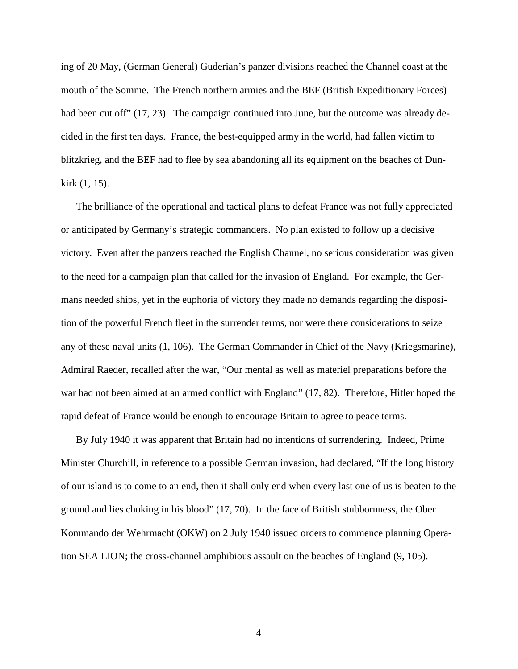ing of 20 May, (German General) Guderian's panzer divisions reached the Channel coast at the mouth of the Somme. The French northern armies and the BEF (British Expeditionary Forces) had been cut off" (17, 23). The campaign continued into June, but the outcome was already decided in the first ten days. France, the best-equipped army in the world, had fallen victim to blitzkrieg, and the BEF had to flee by sea abandoning all its equipment on the beaches of Dunkirk (1, 15).

The brilliance of the operational and tactical plans to defeat France was not fully appreciated or anticipated by Germany's strategic commanders. No plan existed to follow up a decisive victory. Even after the panzers reached the English Channel, no serious consideration was given to the need for a campaign plan that called for the invasion of England. For example, the Germans needed ships, yet in the euphoria of victory they made no demands regarding the disposition of the powerful French fleet in the surrender terms, nor were there considerations to seize any of these naval units (1, 106). The German Commander in Chief of the Navy (Kriegsmarine), Admiral Raeder, recalled after the war, "Our mental as well as materiel preparations before the war had not been aimed at an armed conflict with England" (17, 82). Therefore, Hitler hoped the rapid defeat of France would be enough to encourage Britain to agree to peace terms.

By July 1940 it was apparent that Britain had no intentions of surrendering. Indeed, Prime Minister Churchill, in reference to a possible German invasion, had declared, "If the long history of our island is to come to an end, then it shall only end when every last one of us is beaten to the ground and lies choking in his blood" (17, 70). In the face of British stubbornness, the Ober Kommando der Wehrmacht (OKW) on 2 July 1940 issued orders to commence planning Operation SEA LION; the cross-channel amphibious assault on the beaches of England (9, 105).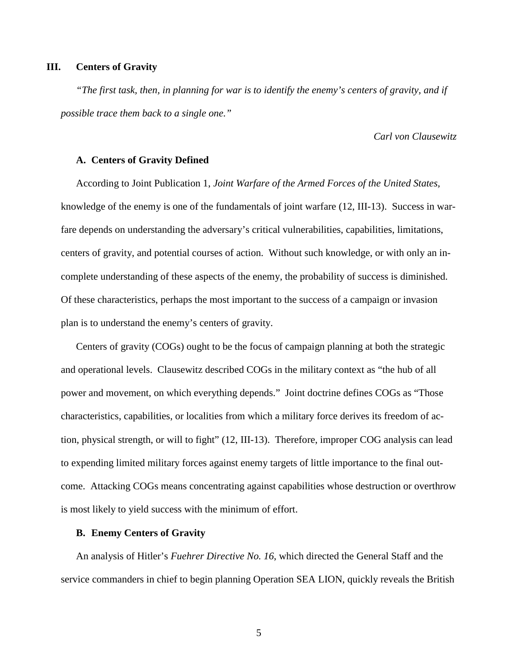# **III. Centers of Gravity**

*"The first task, then, in planning for war is to identify the enemy's centers of gravity, and if possible trace them back to a single one."*

*Carl von Clausewitz*

# **A. Centers of Gravity Defined**

According to Joint Publication 1, *Joint Warfare of the Armed Forces of the United States,* knowledge of the enemy is one of the fundamentals of joint warfare (12, III-13). Success in warfare depends on understanding the adversary's critical vulnerabilities, capabilities, limitations, centers of gravity, and potential courses of action. Without such knowledge, or with only an incomplete understanding of these aspects of the enemy, the probability of success is diminished. Of these characteristics, perhaps the most important to the success of a campaign or invasion plan is to understand the enemy's centers of gravity.

Centers of gravity (COGs) ought to be the focus of campaign planning at both the strategic and operational levels. Clausewitz described COGs in the military context as "the hub of all power and movement, on which everything depends." Joint doctrine defines COGs as "Those characteristics, capabilities, or localities from which a military force derives its freedom of action, physical strength, or will to fight" (12, III-13). Therefore, improper COG analysis can lead to expending limited military forces against enemy targets of little importance to the final outcome. Attacking COGs means concentrating against capabilities whose destruction or overthrow is most likely to yield success with the minimum of effort.

### **B. Enemy Centers of Gravity**

An analysis of Hitler's *Fuehrer Directive No. 16*, which directed the General Staff and the service commanders in chief to begin planning Operation SEA LION, quickly reveals the British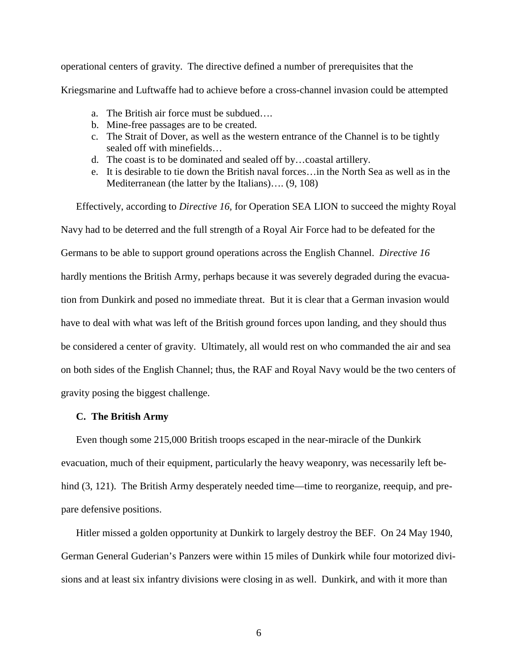operational centers of gravity. The directive defined a number of prerequisites that the Kriegsmarine and Luftwaffe had to achieve before a cross-channel invasion could be attempted

- a. The British air force must be subdued….
- b. Mine-free passages are to be created.
- c. The Strait of Dover, as well as the western entrance of the Channel is to be tightly sealed off with minefields…
- d. The coast is to be dominated and sealed off by…coastal artillery.
- e. It is desirable to tie down the British naval forces…in the North Sea as well as in the Mediterranean (the latter by the Italians)…. (9, 108)

Effectively, according to *Directive 16,* for Operation SEA LION to succeed the mighty Royal Navy had to be deterred and the full strength of a Royal Air Force had to be defeated for the Germans to be able to support ground operations across the English Channel. *Directive 16* hardly mentions the British Army, perhaps because it was severely degraded during the evacuation from Dunkirk and posed no immediate threat. But it is clear that a German invasion would have to deal with what was left of the British ground forces upon landing, and they should thus be considered a center of gravity. Ultimately, all would rest on who commanded the air and sea on both sides of the English Channel; thus, the RAF and Royal Navy would be the two centers of gravity posing the biggest challenge.

# **C. The British Army**

Even though some 215,000 British troops escaped in the near-miracle of the Dunkirk evacuation, much of their equipment, particularly the heavy weaponry, was necessarily left behind  $(3, 121)$ . The British Army desperately needed time—time to reorganize, reequip, and prepare defensive positions.

Hitler missed a golden opportunity at Dunkirk to largely destroy the BEF. On 24 May 1940, German General Guderian's Panzers were within 15 miles of Dunkirk while four motorized divisions and at least six infantry divisions were closing in as well. Dunkirk, and with it more than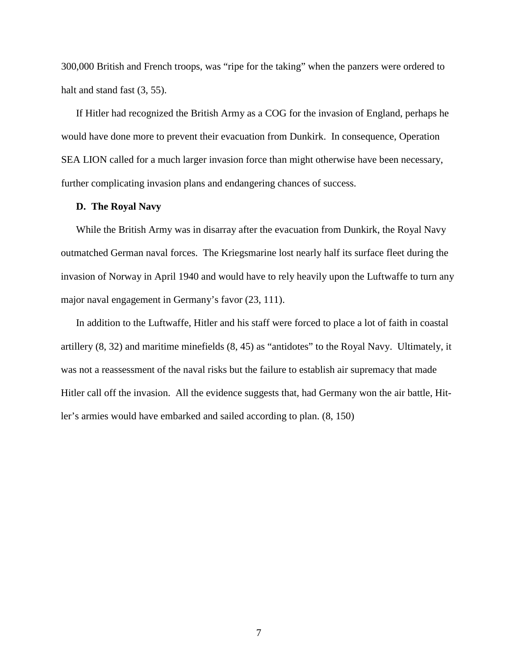300,000 British and French troops, was "ripe for the taking" when the panzers were ordered to halt and stand fast  $(3, 55)$ .

If Hitler had recognized the British Army as a COG for the invasion of England, perhaps he would have done more to prevent their evacuation from Dunkirk. In consequence, Operation SEA LION called for a much larger invasion force than might otherwise have been necessary, further complicating invasion plans and endangering chances of success.

# **D. The Royal Navy**

While the British Army was in disarray after the evacuation from Dunkirk, the Royal Navy outmatched German naval forces. The Kriegsmarine lost nearly half its surface fleet during the invasion of Norway in April 1940 and would have to rely heavily upon the Luftwaffe to turn any major naval engagement in Germany's favor (23, 111).

In addition to the Luftwaffe, Hitler and his staff were forced to place a lot of faith in coastal artillery (8, 32) and maritime minefields (8, 45) as "antidotes" to the Royal Navy. Ultimately, it was not a reassessment of the naval risks but the failure to establish air supremacy that made Hitler call off the invasion. All the evidence suggests that, had Germany won the air battle, Hitler's armies would have embarked and sailed according to plan. (8, 150)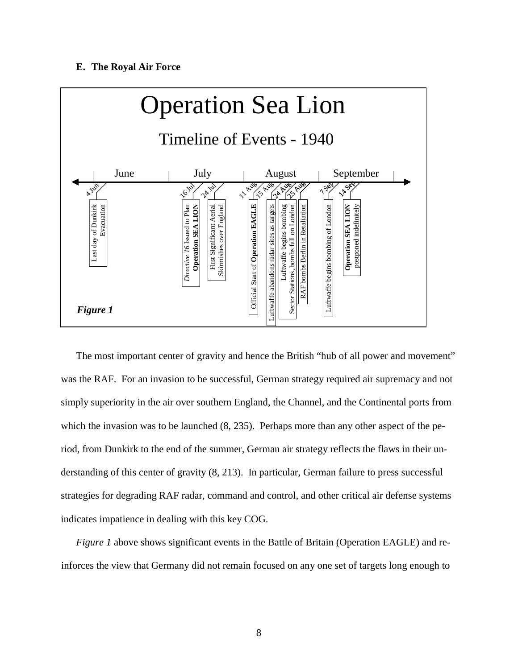## **E. The Royal Air Force**



The most important center of gravity and hence the British "hub of all power and movement" was the RAF. For an invasion to be successful, German strategy required air supremacy and not simply superiority in the air over southern England, the Channel, and the Continental ports from which the invasion was to be launched  $(8, 235)$ . Perhaps more than any other aspect of the period, from Dunkirk to the end of the summer, German air strategy reflects the flaws in their understanding of this center of gravity (8, 213). In particular, German failure to press successful strategies for degrading RAF radar, command and control, and other critical air defense systems indicates impatience in dealing with this key COG.

*Figure 1* above shows significant events in the Battle of Britain (Operation EAGLE) and reinforces the view that Germany did not remain focused on any one set of targets long enough to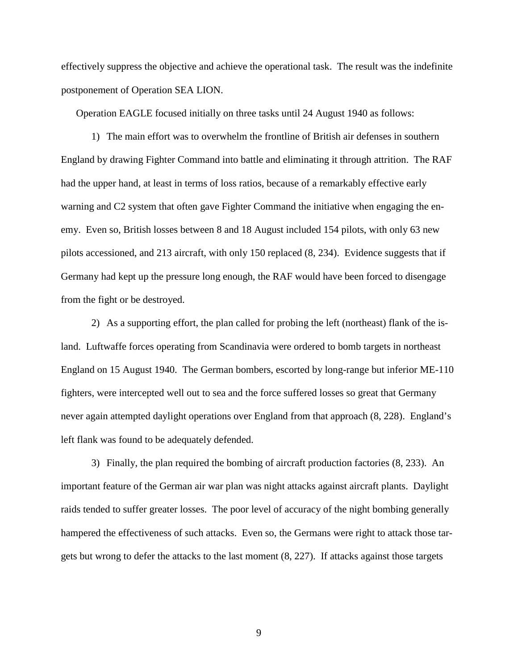effectively suppress the objective and achieve the operational task. The result was the indefinite postponement of Operation SEA LION.

Operation EAGLE focused initially on three tasks until 24 August 1940 as follows:

1) The main effort was to overwhelm the frontline of British air defenses in southern England by drawing Fighter Command into battle and eliminating it through attrition. The RAF had the upper hand, at least in terms of loss ratios, because of a remarkably effective early warning and C2 system that often gave Fighter Command the initiative when engaging the enemy. Even so, British losses between 8 and 18 August included 154 pilots, with only 63 new pilots accessioned, and 213 aircraft, with only 150 replaced (8, 234). Evidence suggests that if Germany had kept up the pressure long enough, the RAF would have been forced to disengage from the fight or be destroyed.

2) As a supporting effort, the plan called for probing the left (northeast) flank of the island. Luftwaffe forces operating from Scandinavia were ordered to bomb targets in northeast England on 15 August 1940. The German bombers, escorted by long-range but inferior ME-110 fighters, were intercepted well out to sea and the force suffered losses so great that Germany never again attempted daylight operations over England from that approach (8, 228). England's left flank was found to be adequately defended.

3) Finally, the plan required the bombing of aircraft production factories (8, 233). An important feature of the German air war plan was night attacks against aircraft plants. Daylight raids tended to suffer greater losses. The poor level of accuracy of the night bombing generally hampered the effectiveness of such attacks. Even so, the Germans were right to attack those targets but wrong to defer the attacks to the last moment (8, 227). If attacks against those targets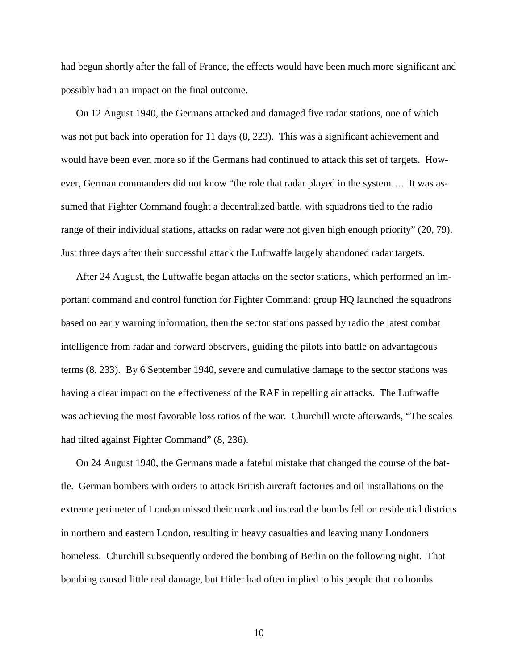had begun shortly after the fall of France, the effects would have been much more significant and possibly hadn an impact on the final outcome.

On 12 August 1940, the Germans attacked and damaged five radar stations, one of which was not put back into operation for 11 days (8, 223). This was a significant achievement and would have been even more so if the Germans had continued to attack this set of targets. However, German commanders did not know "the role that radar played in the system…. It was assumed that Fighter Command fought a decentralized battle, with squadrons tied to the radio range of their individual stations, attacks on radar were not given high enough priority" (20, 79). Just three days after their successful attack the Luftwaffe largely abandoned radar targets.

After 24 August, the Luftwaffe began attacks on the sector stations, which performed an important command and control function for Fighter Command: group HQ launched the squadrons based on early warning information, then the sector stations passed by radio the latest combat intelligence from radar and forward observers, guiding the pilots into battle on advantageous terms (8, 233). By 6 September 1940, severe and cumulative damage to the sector stations was having a clear impact on the effectiveness of the RAF in repelling air attacks. The Luftwaffe was achieving the most favorable loss ratios of the war. Churchill wrote afterwards, "The scales had tilted against Fighter Command" (8, 236).

On 24 August 1940, the Germans made a fateful mistake that changed the course of the battle. German bombers with orders to attack British aircraft factories and oil installations on the extreme perimeter of London missed their mark and instead the bombs fell on residential districts in northern and eastern London, resulting in heavy casualties and leaving many Londoners homeless. Churchill subsequently ordered the bombing of Berlin on the following night. That bombing caused little real damage, but Hitler had often implied to his people that no bombs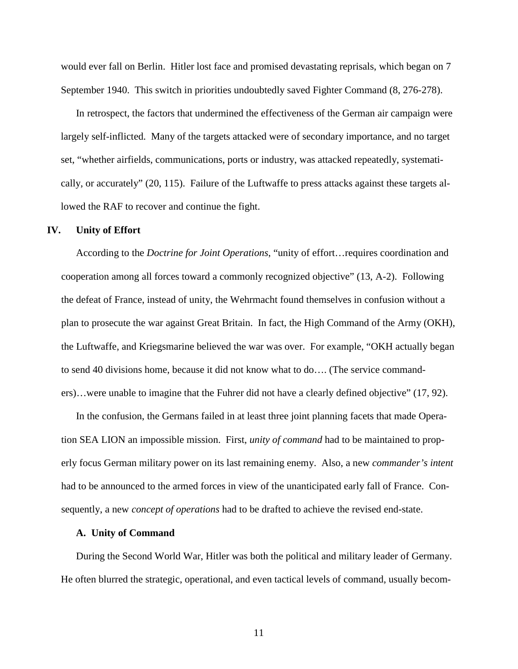would ever fall on Berlin. Hitler lost face and promised devastating reprisals, which began on 7 September 1940. This switch in priorities undoubtedly saved Fighter Command (8, 276-278).

In retrospect, the factors that undermined the effectiveness of the German air campaign were largely self-inflicted. Many of the targets attacked were of secondary importance, and no target set, "whether airfields, communications, ports or industry, was attacked repeatedly, systematically, or accurately" (20, 115). Failure of the Luftwaffe to press attacks against these targets allowed the RAF to recover and continue the fight.

### **IV. Unity of Effort**

According to the *Doctrine for Joint Operations*, "unity of effort…requires coordination and cooperation among all forces toward a commonly recognized objective" (13, A-2). Following the defeat of France, instead of unity, the Wehrmacht found themselves in confusion without a plan to prosecute the war against Great Britain. In fact, the High Command of the Army (OKH), the Luftwaffe, and Kriegsmarine believed the war was over. For example, "OKH actually began to send 40 divisions home, because it did not know what to do…. (The service commanders)…were unable to imagine that the Fuhrer did not have a clearly defined objective" (17, 92).

In the confusion, the Germans failed in at least three joint planning facets that made Operation SEA LION an impossible mission. First, *unity of command* had to be maintained to properly focus German military power on its last remaining enemy. Also, a new *commander's intent* had to be announced to the armed forces in view of the unanticipated early fall of France. Consequently, a new *concept of operations* had to be drafted to achieve the revised end-state.

### **A. Unity of Command**

During the Second World War, Hitler was both the political and military leader of Germany. He often blurred the strategic, operational, and even tactical levels of command, usually becom-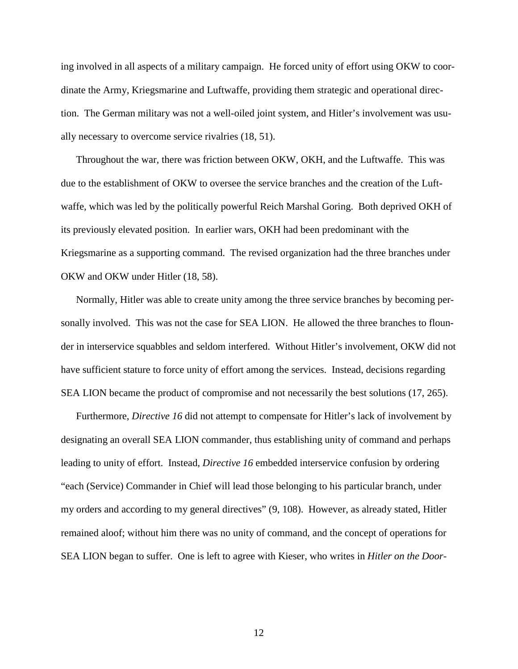ing involved in all aspects of a military campaign. He forced unity of effort using OKW to coordinate the Army, Kriegsmarine and Luftwaffe, providing them strategic and operational direction. The German military was not a well-oiled joint system, and Hitler's involvement was usually necessary to overcome service rivalries (18, 51).

Throughout the war, there was friction between OKW, OKH, and the Luftwaffe. This was due to the establishment of OKW to oversee the service branches and the creation of the Luftwaffe, which was led by the politically powerful Reich Marshal Goring. Both deprived OKH of its previously elevated position. In earlier wars, OKH had been predominant with the Kriegsmarine as a supporting command. The revised organization had the three branches under OKW and OKW under Hitler (18, 58).

Normally, Hitler was able to create unity among the three service branches by becoming personally involved. This was not the case for SEA LION. He allowed the three branches to flounder in interservice squabbles and seldom interfered. Without Hitler's involvement, OKW did not have sufficient stature to force unity of effort among the services. Instead, decisions regarding SEA LION became the product of compromise and not necessarily the best solutions (17, 265).

Furthermore, *Directive 16* did not attempt to compensate for Hitler's lack of involvement by designating an overall SEA LION commander, thus establishing unity of command and perhaps leading to unity of effort. Instead, *Directive 16* embedded interservice confusion by ordering "each (Service) Commander in Chief will lead those belonging to his particular branch, under my orders and according to my general directives" (9, 108). However, as already stated, Hitler remained aloof; without him there was no unity of command, and the concept of operations for SEA LION began to suffer. One is left to agree with Kieser, who writes in *Hitler on the Door-*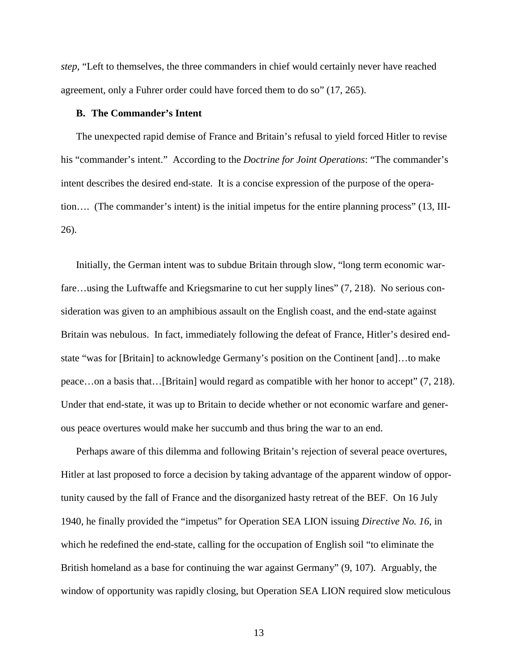*step*, "Left to themselves, the three commanders in chief would certainly never have reached agreement, only a Fuhrer order could have forced them to do so" (17, 265).

# **B. The Commander's Intent**

The unexpected rapid demise of France and Britain's refusal to yield forced Hitler to revise his "commander's intent." According to the *Doctrine for Joint Operations*: "The commander's intent describes the desired end-state. It is a concise expression of the purpose of the operation…. (The commander's intent) is the initial impetus for the entire planning process" (13, III-26).

Initially, the German intent was to subdue Britain through slow, "long term economic warfare…using the Luftwaffe and Kriegsmarine to cut her supply lines" (7, 218). No serious consideration was given to an amphibious assault on the English coast, and the end-state against Britain was nebulous. In fact, immediately following the defeat of France, Hitler's desired endstate "was for [Britain] to acknowledge Germany's position on the Continent [and]…to make peace…on a basis that…[Britain] would regard as compatible with her honor to accept" (7, 218). Under that end-state, it was up to Britain to decide whether or not economic warfare and generous peace overtures would make her succumb and thus bring the war to an end.

Perhaps aware of this dilemma and following Britain's rejection of several peace overtures, Hitler at last proposed to force a decision by taking advantage of the apparent window of opportunity caused by the fall of France and the disorganized hasty retreat of the BEF. On 16 July 1940, he finally provided the "impetus" for Operation SEA LION issuing *Directive No. 16,* in which he redefined the end-state, calling for the occupation of English soil "to eliminate the British homeland as a base for continuing the war against Germany" (9, 107). Arguably, the window of opportunity was rapidly closing, but Operation SEA LION required slow meticulous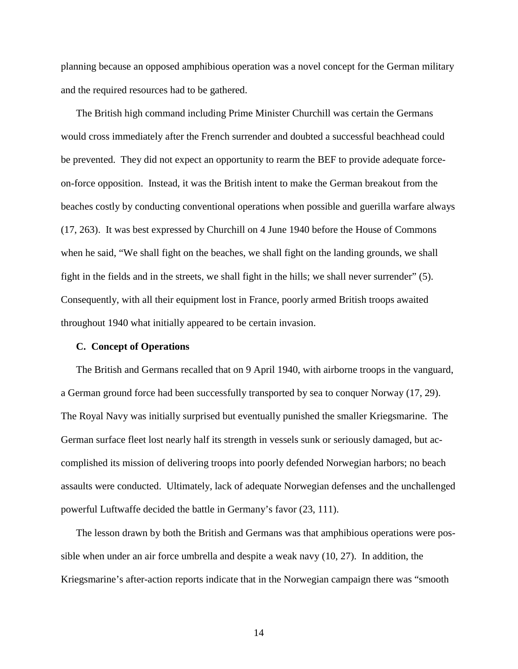planning because an opposed amphibious operation was a novel concept for the German military and the required resources had to be gathered.

The British high command including Prime Minister Churchill was certain the Germans would cross immediately after the French surrender and doubted a successful beachhead could be prevented. They did not expect an opportunity to rearm the BEF to provide adequate forceon-force opposition. Instead, it was the British intent to make the German breakout from the beaches costly by conducting conventional operations when possible and guerilla warfare always (17, 263). It was best expressed by Churchill on 4 June 1940 before the House of Commons when he said, "We shall fight on the beaches, we shall fight on the landing grounds, we shall fight in the fields and in the streets, we shall fight in the hills; we shall never surrender" (5). Consequently, with all their equipment lost in France, poorly armed British troops awaited throughout 1940 what initially appeared to be certain invasion.

### **C. Concept of Operations**

The British and Germans recalled that on 9 April 1940, with airborne troops in the vanguard, a German ground force had been successfully transported by sea to conquer Norway (17, 29). The Royal Navy was initially surprised but eventually punished the smaller Kriegsmarine. The German surface fleet lost nearly half its strength in vessels sunk or seriously damaged, but accomplished its mission of delivering troops into poorly defended Norwegian harbors; no beach assaults were conducted. Ultimately, lack of adequate Norwegian defenses and the unchallenged powerful Luftwaffe decided the battle in Germany's favor (23, 111).

The lesson drawn by both the British and Germans was that amphibious operations were possible when under an air force umbrella and despite a weak navy (10, 27). In addition, the Kriegsmarine's after-action reports indicate that in the Norwegian campaign there was "smooth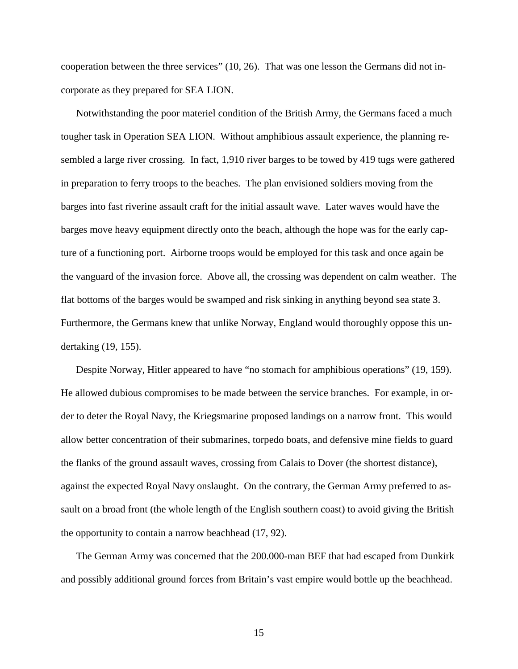cooperation between the three services" (10, 26). That was one lesson the Germans did not incorporate as they prepared for SEA LION.

Notwithstanding the poor materiel condition of the British Army, the Germans faced a much tougher task in Operation SEA LION. Without amphibious assault experience, the planning resembled a large river crossing. In fact, 1,910 river barges to be towed by 419 tugs were gathered in preparation to ferry troops to the beaches. The plan envisioned soldiers moving from the barges into fast riverine assault craft for the initial assault wave. Later waves would have the barges move heavy equipment directly onto the beach, although the hope was for the early capture of a functioning port. Airborne troops would be employed for this task and once again be the vanguard of the invasion force. Above all, the crossing was dependent on calm weather. The flat bottoms of the barges would be swamped and risk sinking in anything beyond sea state 3. Furthermore, the Germans knew that unlike Norway, England would thoroughly oppose this undertaking (19, 155).

Despite Norway, Hitler appeared to have "no stomach for amphibious operations" (19, 159). He allowed dubious compromises to be made between the service branches. For example, in order to deter the Royal Navy, the Kriegsmarine proposed landings on a narrow front. This would allow better concentration of their submarines, torpedo boats, and defensive mine fields to guard the flanks of the ground assault waves, crossing from Calais to Dover (the shortest distance), against the expected Royal Navy onslaught. On the contrary, the German Army preferred to assault on a broad front (the whole length of the English southern coast) to avoid giving the British the opportunity to contain a narrow beachhead (17, 92).

The German Army was concerned that the 200.000-man BEF that had escaped from Dunkirk and possibly additional ground forces from Britain's vast empire would bottle up the beachhead.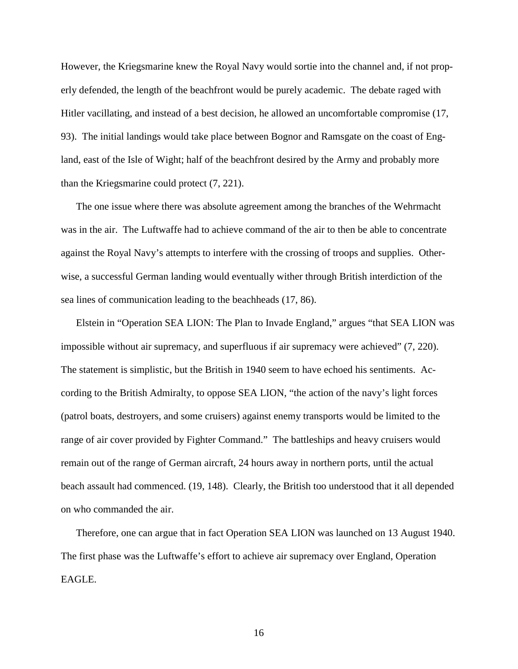However, the Kriegsmarine knew the Royal Navy would sortie into the channel and, if not properly defended, the length of the beachfront would be purely academic. The debate raged with Hitler vacillating, and instead of a best decision, he allowed an uncomfortable compromise (17, 93). The initial landings would take place between Bognor and Ramsgate on the coast of England, east of the Isle of Wight; half of the beachfront desired by the Army and probably more than the Kriegsmarine could protect (7, 221).

The one issue where there was absolute agreement among the branches of the Wehrmacht was in the air. The Luftwaffe had to achieve command of the air to then be able to concentrate against the Royal Navy's attempts to interfere with the crossing of troops and supplies. Otherwise, a successful German landing would eventually wither through British interdiction of the sea lines of communication leading to the beachheads (17, 86).

Elstein in "Operation SEA LION: The Plan to Invade England," argues "that SEA LION was impossible without air supremacy, and superfluous if air supremacy were achieved" (7, 220). The statement is simplistic, but the British in 1940 seem to have echoed his sentiments. According to the British Admiralty, to oppose SEA LION, "the action of the navy's light forces (patrol boats, destroyers, and some cruisers) against enemy transports would be limited to the range of air cover provided by Fighter Command." The battleships and heavy cruisers would remain out of the range of German aircraft, 24 hours away in northern ports, until the actual beach assault had commenced. (19, 148). Clearly, the British too understood that it all depended on who commanded the air.

Therefore, one can argue that in fact Operation SEA LION was launched on 13 August 1940. The first phase was the Luftwaffe's effort to achieve air supremacy over England, Operation EAGLE.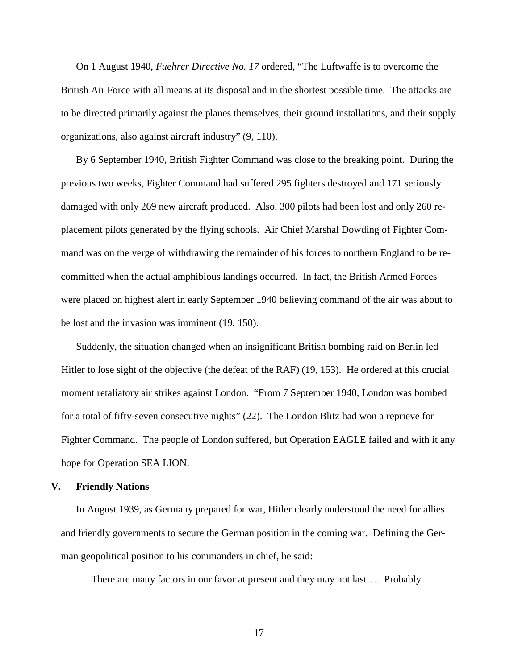On 1 August 1940, *Fuehrer Directive No. 17* ordered, "The Luftwaffe is to overcome the British Air Force with all means at its disposal and in the shortest possible time. The attacks are to be directed primarily against the planes themselves, their ground installations, and their supply organizations, also against aircraft industry" (9, 110).

By 6 September 1940, British Fighter Command was close to the breaking point. During the previous two weeks, Fighter Command had suffered 295 fighters destroyed and 171 seriously damaged with only 269 new aircraft produced. Also, 300 pilots had been lost and only 260 replacement pilots generated by the flying schools. Air Chief Marshal Dowding of Fighter Command was on the verge of withdrawing the remainder of his forces to northern England to be recommitted when the actual amphibious landings occurred. In fact, the British Armed Forces were placed on highest alert in early September 1940 believing command of the air was about to be lost and the invasion was imminent (19, 150).

Suddenly, the situation changed when an insignificant British bombing raid on Berlin led Hitler to lose sight of the objective (the defeat of the RAF) (19, 153). He ordered at this crucial moment retaliatory air strikes against London. "From 7 September 1940, London was bombed for a total of fifty-seven consecutive nights" (22). The London Blitz had won a reprieve for Fighter Command. The people of London suffered, but Operation EAGLE failed and with it any hope for Operation SEA LION.

### **V. Friendly Nations**

In August 1939, as Germany prepared for war, Hitler clearly understood the need for allies and friendly governments to secure the German position in the coming war. Defining the German geopolitical position to his commanders in chief, he said:

There are many factors in our favor at present and they may not last…. Probably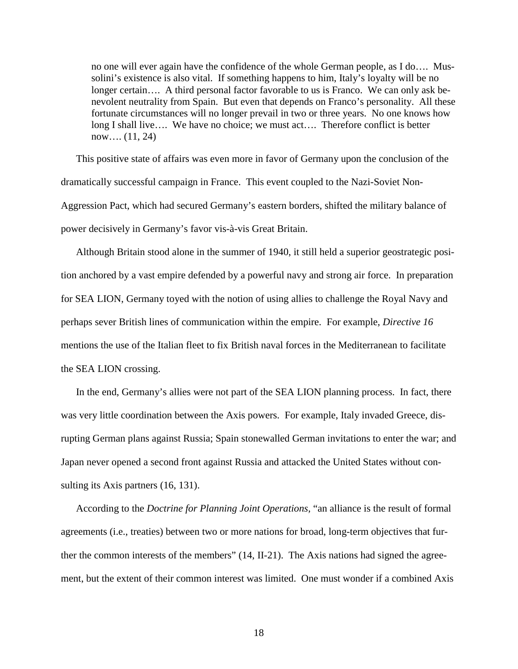no one will ever again have the confidence of the whole German people, as I do…. Mussolini's existence is also vital. If something happens to him, Italy's loyalty will be no longer certain.... A third personal factor favorable to us is Franco. We can only ask benevolent neutrality from Spain. But even that depends on Franco's personality. All these fortunate circumstances will no longer prevail in two or three years. No one knows how long I shall live…. We have no choice; we must act…. Therefore conflict is better now…. (11, 24)

This positive state of affairs was even more in favor of Germany upon the conclusion of the dramatically successful campaign in France. This event coupled to the Nazi-Soviet Non-Aggression Pact, which had secured Germany's eastern borders, shifted the military balance of power decisively in Germany's favor vis-à-vis Great Britain.

Although Britain stood alone in the summer of 1940, it still held a superior geostrategic position anchored by a vast empire defended by a powerful navy and strong air force. In preparation for SEA LION, Germany toyed with the notion of using allies to challenge the Royal Navy and perhaps sever British lines of communication within the empire. For example, *Directive 16* mentions the use of the Italian fleet to fix British naval forces in the Mediterranean to facilitate the SEA LION crossing.

In the end, Germany's allies were not part of the SEA LION planning process. In fact, there was very little coordination between the Axis powers. For example, Italy invaded Greece, disrupting German plans against Russia; Spain stonewalled German invitations to enter the war; and Japan never opened a second front against Russia and attacked the United States without consulting its Axis partners  $(16, 131)$ .

According to the *Doctrine for Planning Joint Operations,* "an alliance is the result of formal agreements (i.e., treaties) between two or more nations for broad, long-term objectives that further the common interests of the members" (14, II-21). The Axis nations had signed the agreement, but the extent of their common interest was limited. One must wonder if a combined Axis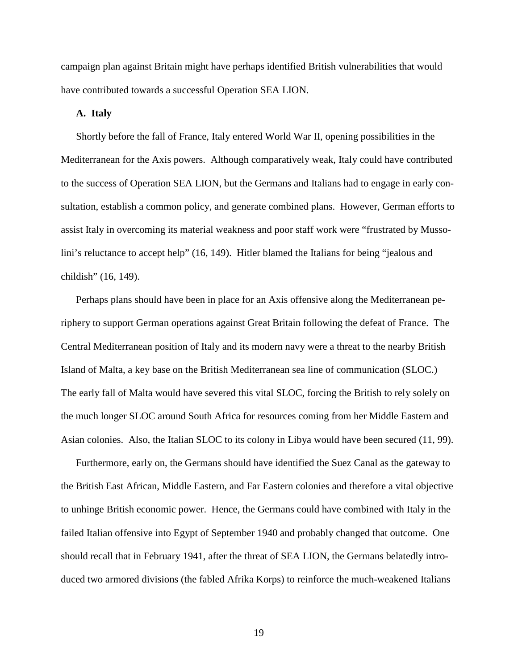campaign plan against Britain might have perhaps identified British vulnerabilities that would have contributed towards a successful Operation SEA LION.

## **A. Italy**

Shortly before the fall of France, Italy entered World War II, opening possibilities in the Mediterranean for the Axis powers. Although comparatively weak, Italy could have contributed to the success of Operation SEA LION, but the Germans and Italians had to engage in early consultation, establish a common policy, and generate combined plans. However, German efforts to assist Italy in overcoming its material weakness and poor staff work were "frustrated by Mussolini's reluctance to accept help" (16, 149). Hitler blamed the Italians for being "jealous and childish" (16, 149).

Perhaps plans should have been in place for an Axis offensive along the Mediterranean periphery to support German operations against Great Britain following the defeat of France. The Central Mediterranean position of Italy and its modern navy were a threat to the nearby British Island of Malta, a key base on the British Mediterranean sea line of communication (SLOC.) The early fall of Malta would have severed this vital SLOC, forcing the British to rely solely on the much longer SLOC around South Africa for resources coming from her Middle Eastern and Asian colonies. Also, the Italian SLOC to its colony in Libya would have been secured (11, 99).

Furthermore, early on, the Germans should have identified the Suez Canal as the gateway to the British East African, Middle Eastern, and Far Eastern colonies and therefore a vital objective to unhinge British economic power. Hence, the Germans could have combined with Italy in the failed Italian offensive into Egypt of September 1940 and probably changed that outcome. One should recall that in February 1941, after the threat of SEA LION, the Germans belatedly introduced two armored divisions (the fabled Afrika Korps) to reinforce the much-weakened Italians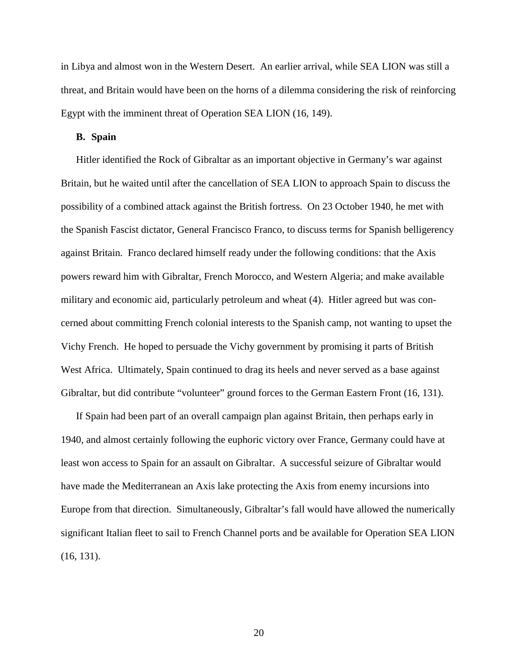in Libya and almost won in the Western Desert. An earlier arrival, while SEA LION was still a threat, and Britain would have been on the horns of a dilemma considering the risk of reinforcing Egypt with the imminent threat of Operation SEA LION (16, 149).

# **B. Spain**

Hitler identified the Rock of Gibraltar as an important objective in Germany's war against Britain, but he waited until after the cancellation of SEA LION to approach Spain to discuss the possibility of a combined attack against the British fortress. On 23 October 1940, he met with the Spanish Fascist dictator, General Francisco Franco, to discuss terms for Spanish belligerency against Britain. Franco declared himself ready under the following conditions: that the Axis powers reward him with Gibraltar, French Morocco, and Western Algeria; and make available military and economic aid, particularly petroleum and wheat (4). Hitler agreed but was concerned about committing French colonial interests to the Spanish camp, not wanting to upset the Vichy French. He hoped to persuade the Vichy government by promising it parts of British West Africa. Ultimately, Spain continued to drag its heels and never served as a base against Gibraltar, but did contribute "volunteer" ground forces to the German Eastern Front (16, 131).

If Spain had been part of an overall campaign plan against Britain, then perhaps early in 1940, and almost certainly following the euphoric victory over France, Germany could have at least won access to Spain for an assault on Gibraltar. A successful seizure of Gibraltar would have made the Mediterranean an Axis lake protecting the Axis from enemy incursions into Europe from that direction. Simultaneously, Gibraltar's fall would have allowed the numerically significant Italian fleet to sail to French Channel ports and be available for Operation SEA LION (16, 131).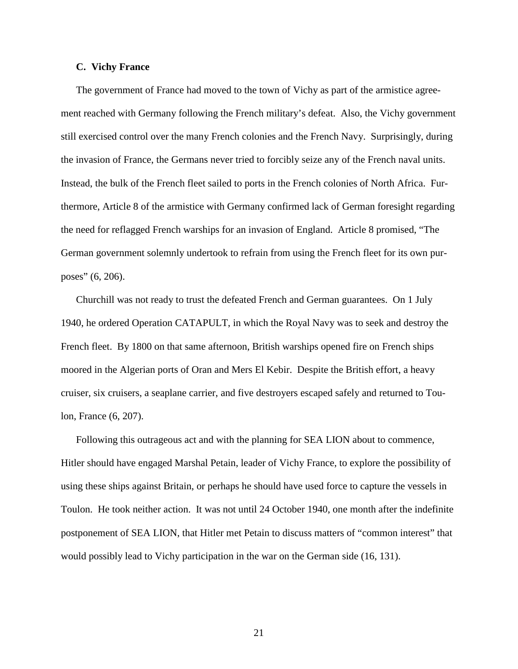# **C. Vichy France**

The government of France had moved to the town of Vichy as part of the armistice agreement reached with Germany following the French military's defeat. Also, the Vichy government still exercised control over the many French colonies and the French Navy. Surprisingly, during the invasion of France, the Germans never tried to forcibly seize any of the French naval units. Instead, the bulk of the French fleet sailed to ports in the French colonies of North Africa. Furthermore, Article 8 of the armistice with Germany confirmed lack of German foresight regarding the need for reflagged French warships for an invasion of England. Article 8 promised, "The German government solemnly undertook to refrain from using the French fleet for its own purposes" (6, 206).

Churchill was not ready to trust the defeated French and German guarantees. On 1 July 1940, he ordered Operation CATAPULT, in which the Royal Navy was to seek and destroy the French fleet. By 1800 on that same afternoon, British warships opened fire on French ships moored in the Algerian ports of Oran and Mers El Kebir. Despite the British effort, a heavy cruiser, six cruisers, a seaplane carrier, and five destroyers escaped safely and returned to Toulon, France (6, 207).

Following this outrageous act and with the planning for SEA LION about to commence, Hitler should have engaged Marshal Petain, leader of Vichy France, to explore the possibility of using these ships against Britain, or perhaps he should have used force to capture the vessels in Toulon. He took neither action. It was not until 24 October 1940, one month after the indefinite postponement of SEA LION, that Hitler met Petain to discuss matters of "common interest" that would possibly lead to Vichy participation in the war on the German side (16, 131).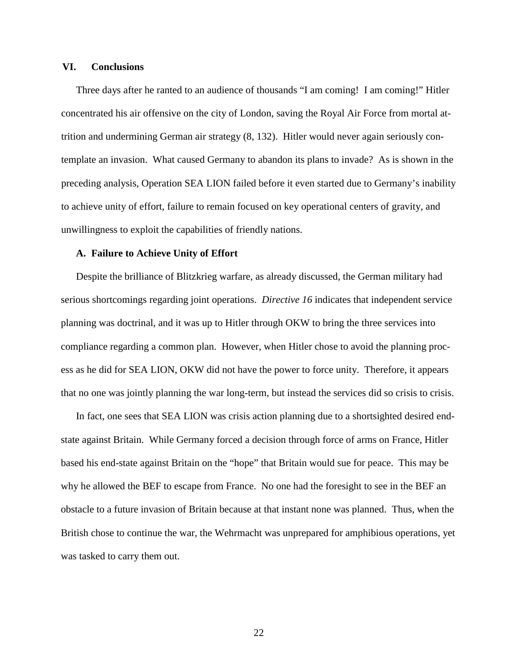### **VI. Conclusions**

Three days after he ranted to an audience of thousands "I am coming! I am coming!" Hitler concentrated his air offensive on the city of London, saving the Royal Air Force from mortal attrition and undermining German air strategy (8, 132). Hitler would never again seriously contemplate an invasion. What caused Germany to abandon its plans to invade? As is shown in the preceding analysis, Operation SEA LION failed before it even started due to Germany's inability to achieve unity of effort, failure to remain focused on key operational centers of gravity, and unwillingness to exploit the capabilities of friendly nations.

### **A. Failure to Achieve Unity of Effort**

Despite the brilliance of Blitzkrieg warfare, as already discussed, the German military had serious shortcomings regarding joint operations. *Directive 16* indicates that independent service planning was doctrinal, and it was up to Hitler through OKW to bring the three services into compliance regarding a common plan. However, when Hitler chose to avoid the planning process as he did for SEA LION, OKW did not have the power to force unity. Therefore, it appears that no one was jointly planning the war long-term, but instead the services did so crisis to crisis.

In fact, one sees that SEA LION was crisis action planning due to a shortsighted desired endstate against Britain. While Germany forced a decision through force of arms on France, Hitler based his end-state against Britain on the "hope" that Britain would sue for peace. This may be why he allowed the BEF to escape from France. No one had the foresight to see in the BEF an obstacle to a future invasion of Britain because at that instant none was planned. Thus, when the British chose to continue the war, the Wehrmacht was unprepared for amphibious operations, yet was tasked to carry them out.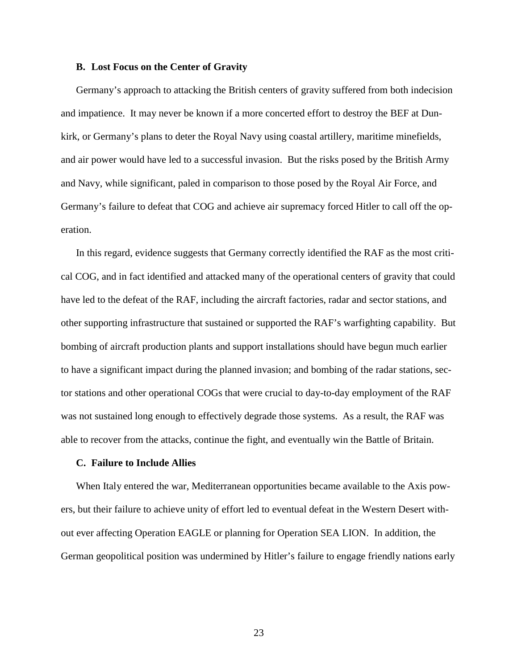### **B. Lost Focus on the Center of Gravity**

Germany's approach to attacking the British centers of gravity suffered from both indecision and impatience. It may never be known if a more concerted effort to destroy the BEF at Dunkirk, or Germany's plans to deter the Royal Navy using coastal artillery, maritime minefields, and air power would have led to a successful invasion. But the risks posed by the British Army and Navy, while significant, paled in comparison to those posed by the Royal Air Force, and Germany's failure to defeat that COG and achieve air supremacy forced Hitler to call off the operation.

In this regard, evidence suggests that Germany correctly identified the RAF as the most critical COG, and in fact identified and attacked many of the operational centers of gravity that could have led to the defeat of the RAF, including the aircraft factories, radar and sector stations, and other supporting infrastructure that sustained or supported the RAF's warfighting capability. But bombing of aircraft production plants and support installations should have begun much earlier to have a significant impact during the planned invasion; and bombing of the radar stations, sector stations and other operational COGs that were crucial to day-to-day employment of the RAF was not sustained long enough to effectively degrade those systems. As a result, the RAF was able to recover from the attacks, continue the fight, and eventually win the Battle of Britain.

### **C. Failure to Include Allies**

When Italy entered the war, Mediterranean opportunities became available to the Axis powers, but their failure to achieve unity of effort led to eventual defeat in the Western Desert without ever affecting Operation EAGLE or planning for Operation SEA LION. In addition, the German geopolitical position was undermined by Hitler's failure to engage friendly nations early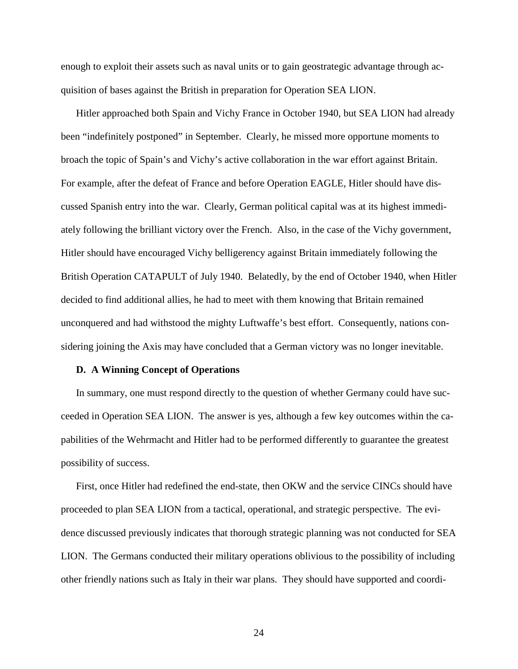enough to exploit their assets such as naval units or to gain geostrategic advantage through acquisition of bases against the British in preparation for Operation SEA LION.

Hitler approached both Spain and Vichy France in October 1940, but SEA LION had already been "indefinitely postponed" in September. Clearly, he missed more opportune moments to broach the topic of Spain's and Vichy's active collaboration in the war effort against Britain. For example, after the defeat of France and before Operation EAGLE, Hitler should have discussed Spanish entry into the war. Clearly, German political capital was at its highest immediately following the brilliant victory over the French. Also, in the case of the Vichy government, Hitler should have encouraged Vichy belligerency against Britain immediately following the British Operation CATAPULT of July 1940. Belatedly, by the end of October 1940, when Hitler decided to find additional allies, he had to meet with them knowing that Britain remained unconquered and had withstood the mighty Luftwaffe's best effort. Consequently, nations considering joining the Axis may have concluded that a German victory was no longer inevitable.

### **D. A Winning Concept of Operations**

In summary, one must respond directly to the question of whether Germany could have succeeded in Operation SEA LION. The answer is yes, although a few key outcomes within the capabilities of the Wehrmacht and Hitler had to be performed differently to guarantee the greatest possibility of success.

First, once Hitler had redefined the end-state, then OKW and the service CINCs should have proceeded to plan SEA LION from a tactical, operational, and strategic perspective. The evidence discussed previously indicates that thorough strategic planning was not conducted for SEA LION. The Germans conducted their military operations oblivious to the possibility of including other friendly nations such as Italy in their war plans. They should have supported and coordi-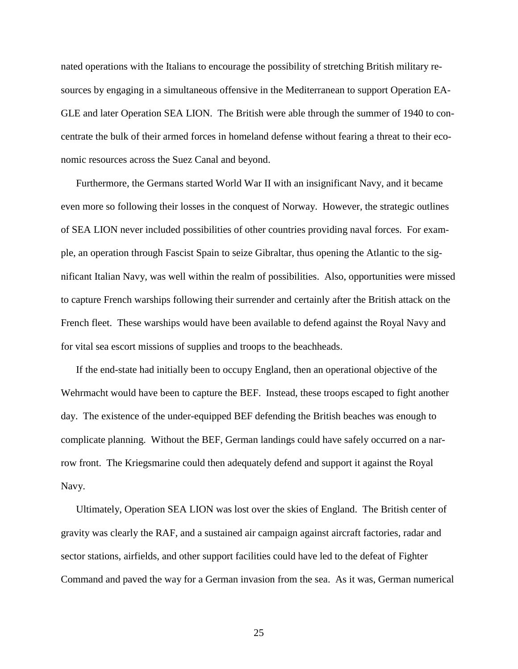nated operations with the Italians to encourage the possibility of stretching British military resources by engaging in a simultaneous offensive in the Mediterranean to support Operation EA-GLE and later Operation SEA LION. The British were able through the summer of 1940 to concentrate the bulk of their armed forces in homeland defense without fearing a threat to their economic resources across the Suez Canal and beyond.

Furthermore, the Germans started World War II with an insignificant Navy, and it became even more so following their losses in the conquest of Norway. However, the strategic outlines of SEA LION never included possibilities of other countries providing naval forces. For example, an operation through Fascist Spain to seize Gibraltar, thus opening the Atlantic to the significant Italian Navy, was well within the realm of possibilities. Also, opportunities were missed to capture French warships following their surrender and certainly after the British attack on the French fleet. These warships would have been available to defend against the Royal Navy and for vital sea escort missions of supplies and troops to the beachheads.

If the end-state had initially been to occupy England, then an operational objective of the Wehrmacht would have been to capture the BEF. Instead, these troops escaped to fight another day. The existence of the under-equipped BEF defending the British beaches was enough to complicate planning. Without the BEF, German landings could have safely occurred on a narrow front. The Kriegsmarine could then adequately defend and support it against the Royal Navy.

Ultimately, Operation SEA LION was lost over the skies of England. The British center of gravity was clearly the RAF, and a sustained air campaign against aircraft factories, radar and sector stations, airfields, and other support facilities could have led to the defeat of Fighter Command and paved the way for a German invasion from the sea. As it was, German numerical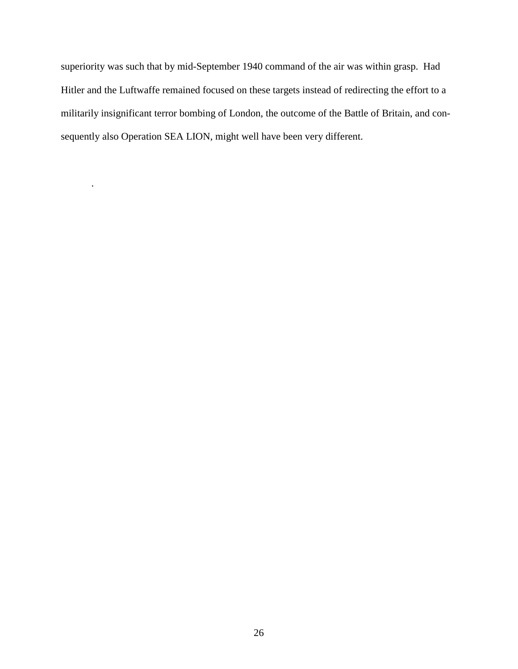superiority was such that by mid-September 1940 command of the air was within grasp. Had Hitler and the Luftwaffe remained focused on these targets instead of redirecting the effort to a militarily insignificant terror bombing of London, the outcome of the Battle of Britain, and consequently also Operation SEA LION, might well have been very different.

.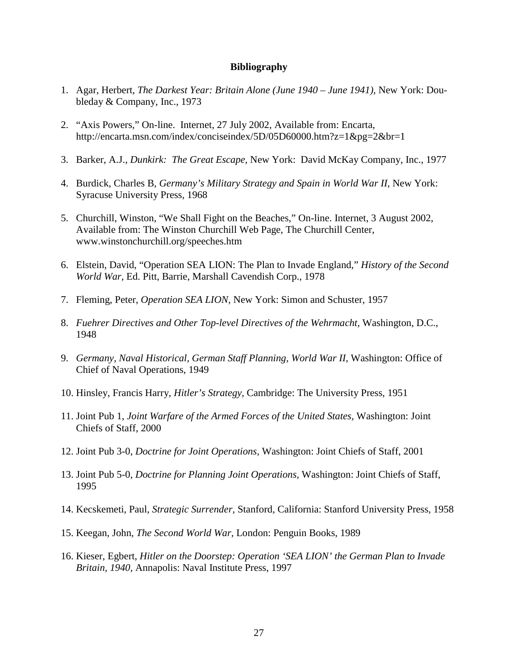# **Bibliography**

- 1. Agar, Herbert, *The Darkest Year: Britain Alone (June 1940 June 1941),* New York: Doubleday & Company, Inc., 1973
- 2. "Axis Powers," On-line. Internet, 27 July 2002, Available from: Encarta, http://encarta.msn.com/index/conciseindex/5D/05D60000.htm?z=1&pg=2&br=1
- 3. Barker, A.J., *Dunkirk: The Great Escape,* New York: David McKay Company, Inc., 1977
- 4. Burdick, Charles B, *Germany's Military Strategy and Spain in World War II,* New York: Syracuse University Press, 1968
- 5. Churchill, Winston, "We Shall Fight on the Beaches," On-line. Internet, 3 August 2002, Available from: The Winston Churchill Web Page, The Churchill Center, www.winstonchurchill.org/speeches.htm
- 6. Elstein, David, "Operation SEA LION: The Plan to Invade England," *History of the Second World War,* Ed. Pitt, Barrie, Marshall Cavendish Corp., 1978
- 7. Fleming, Peter, *Operation SEA LION,* New York: Simon and Schuster, 1957
- 8. *Fuehrer Directives and Other Top-level Directives of the Wehrmacht,* Washington, D.C., 1948
- 9. *Germany, Naval Historical, German Staff Planning, World War II,* Washington: Office of Chief of Naval Operations, 1949
- 10. Hinsley, Francis Harry, *Hitler's Strategy*, Cambridge: The University Press, 1951
- 11. Joint Pub 1, *Joint Warfare of the Armed Forces of the United States,* Washington: Joint Chiefs of Staff, 2000
- 12. Joint Pub 3-0, *Doctrine for Joint Operations,* Washington: Joint Chiefs of Staff, 2001
- 13. Joint Pub 5-0, *Doctrine for Planning Joint Operations,* Washington: Joint Chiefs of Staff, 1995
- 14. Kecskemeti, Paul, *Strategic Surrender,* Stanford, California: Stanford University Press, 1958
- 15. Keegan, John, *The Second World War,* London: Penguin Books, 1989
- 16. Kieser, Egbert, *Hitler on the Doorstep: Operation 'SEA LION' the German Plan to Invade Britain, 1940,* Annapolis: Naval Institute Press, 1997